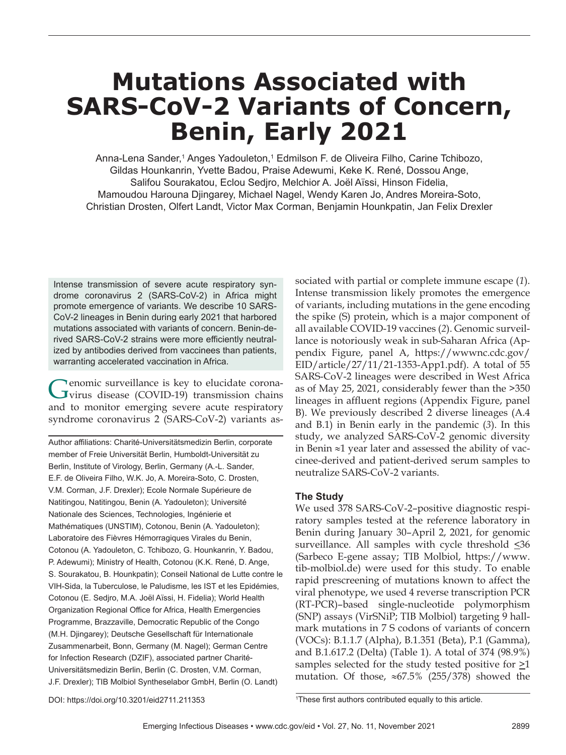# **Mutations Associated with SARS-CoV-2 Variants of Concern, Benin, Early 2021**

Anna-Lena Sander,<sup>1</sup> Anges Yadouleton,<sup>1</sup> Edmilson F. de Oliveira Filho, Carine Tchibozo, Gildas Hounkanrin, Yvette Badou, Praise Adewumi, Keke K. René, Dossou Ange, Salifou Sourakatou, Eclou Sedjro, Melchior A. Joël Aïssi, Hinson Fidelia, Mamoudou Harouna Djingarey, Michael Nagel, Wendy Karen Jo, Andres Moreira-Soto, Christian Drosten, Olfert Landt, Victor Max Corman, Benjamin Hounkpatin, Jan Felix Drexler

Intense transmission of severe acute respiratory syndrome coronavirus 2 (SARS-CoV-2) in Africa might promote emergence of variants. We describe 10 SARS-CoV-2 lineages in Benin during early 2021 that harbored mutations associated with variants of concern. Benin-derived SARS-CoV-2 strains were more efficiently neutralized by antibodies derived from vaccinees than patients, warranting accelerated vaccination in Africa.

Genomic surveillance is key to elucidate corona-<br>
Virus disease (COVID-19) transmission chains and to monitor emerging severe acute respiratory syndrome coronavirus 2 (SARS-CoV-2) variants as-

Author affiliations: Charité-Universitätsmedizin Berlin, corporate member of Freie Universität Berlin, Humboldt-Universität zu Berlin, Institute of Virology, Berlin, Germany (A.-L. Sander, E.F. de Oliveira Filho, W.K. Jo, A. Moreira-Soto, C. Drosten, V.M. Corman, J.F. Drexler); Ecole Normale Supérieure de Natitingou, Natitingou, Benin (A. Yadouleton); Université Nationale des Sciences, Technologies, Ingénierie et Mathématiques (UNSTIM), Cotonou, Benin (A. Yadouleton); Laboratoire des Fièvres Hémorragiques Virales du Benin, Cotonou (A. Yadouleton, C. Tchibozo, G. Hounkanrin, Y. Badou, P. Adewumi); Ministry of Health, Cotonou (K.K. René, D. Ange, S. Sourakatou, B. Hounkpatin); Conseil National de Lutte contre le VIH-Sida, la Tuberculose, le Paludisme, les IST et les Epidémies, Cotonou (E. Sediro, M.A. Joël Aïssi, H. Fidelia); World Health Organization Regional Office for Africa, Health Emergencies Programme, Brazzaville, Democratic Republic of the Congo (M.H. Djingarey); Deutsche Gesellschaft für Internationale Zusammenarbeit, Bonn, Germany (M. Nagel); German Centre for Infection Research (DZIF), associated partner Charité-Universitätsmedizin Berlin, Berlin (C. Drosten, V.M. Corman, J.F. Drexler); TIB Molbiol Syntheselabor GmbH, Berlin (O. Landt)

sociated with partial or complete immune escape (*1*). Intense transmission likely promotes the emergence of variants, including mutations in the gene encoding the spike (S) protein, which is a major component of all available COVID-19 vaccines (*2*). Genomic surveillance is notoriously weak in sub-Saharan Africa (Appendix Figure, panel A, https://wwwnc.cdc.gov/ EID/article/27/11/21-1353-App1.pdf). A total of 55 SARS-CoV-2 lineages were described in West Africa as of May 25, 2021, considerably fewer than the >350 lineages in affluent regions (Appendix Figure, panel B). We previously described 2 diverse lineages (A.4 and B.1) in Benin early in the pandemic (*3*). In this study, we analyzed SARS-CoV-2 genomic diversity in Benin ≈1 year later and assessed the ability of vaccinee-derived and patient-derived serum samples to neutralize SARS-CoV-2 variants.

## **The Study**

We used 378 SARS-CoV-2–positive diagnostic respiratory samples tested at the reference laboratory in Benin during January 30–April 2, 2021, for genomic surveillance. All samples with cycle threshold  $\leq 36$ (Sarbeco E-gene assay; TIB Molbiol, https://www. tib-molbiol.de) were used for this study. To enable rapid prescreening of mutations known to affect the viral phenotype, we used 4 reverse transcription PCR (RT-PCR)–based single-nucleotide polymorphism (SNP) assays (VirSNiP; TIB Molbiol) targeting 9 hallmark mutations in 7 S codons of variants of concern (VOCs): B.1.1.7 (Alpha), B.1.351 (Beta), P.1 (Gamma), and B.1.617.2 (Delta) (Table 1). A total of 374 (98.9%) samples selected for the study tested positive for >1 mutation. Of those,  $\approx 67.5\%$  (255/378) showed the

DOI: https://doi.org/10.3201/eid2711.211353 <sup>1</sup>

<sup>&</sup>lt;sup>1</sup>These first authors contributed equally to this article.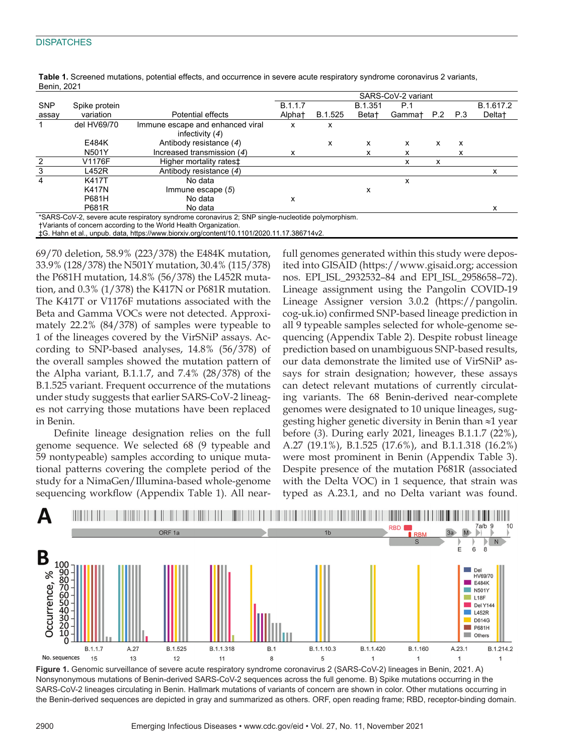## **DISPATCHES**

| <b>DUITIII, LUL I</b> |               |                                                                                                                                                                       |         |         |                   | SARS-CoV-2 variant |     |     |                    |
|-----------------------|---------------|-----------------------------------------------------------------------------------------------------------------------------------------------------------------------|---------|---------|-------------------|--------------------|-----|-----|--------------------|
| <b>SNP</b>            | Spike protein |                                                                                                                                                                       | B.1.1.7 |         | B.1.351           | P.1                |     |     | B.1.617.2          |
| assay                 | variation     | Potential effects                                                                                                                                                     | Alphat  | B.1.525 | Beta <sup>+</sup> | Gammat             | P.2 | P.3 | Delta <sup>+</sup> |
|                       | del HV69/70   | Immune escape and enhanced viral                                                                                                                                      | x       | x       |                   |                    |     |     |                    |
|                       |               | infectivity $(4)$                                                                                                                                                     |         |         |                   |                    |     |     |                    |
|                       | E484K         | Antibody resistance (4)                                                                                                                                               |         | x       | x                 | x                  | x   | х   |                    |
|                       | N501Y         | Increased transmission (4)                                                                                                                                            | x       |         | x                 | x                  |     | x   |                    |
| 2                     | V1176F        | Higher mortality ratest                                                                                                                                               |         |         |                   | х                  | х   |     |                    |
| 3                     | L452R         | Antibody resistance (4)                                                                                                                                               |         |         |                   |                    |     |     | х                  |
| 4                     | K417T         | No data                                                                                                                                                               |         |         |                   | x                  |     |     |                    |
|                       | <b>K417N</b>  | Immune escape $(5)$                                                                                                                                                   |         |         | х                 |                    |     |     |                    |
|                       | P681H         | No data                                                                                                                                                               | х       |         |                   |                    |     |     |                    |
|                       | P681R         | No data                                                                                                                                                               |         |         |                   |                    |     |     | x                  |
|                       |               | *SARS-CoV-2, severe acute respiratory syndrome coronavirus 2; SNP single-nucleotide polymorphism.<br>+Variants of concern according to the World Health Organization. |         |         |                   |                    |     |     |                    |

Table 1. Screened mutations, potential effects, and occurrence in severe acute respiratory syndrome coronavirus 2 variants, Benin, 2021

‡G. Hahn et al., unpub. data, https://www.biorxiv.org/content/10.1101/2020.11.17.386714v2.

69/70 deletion, 58.9% (223/378) the E484K mutation, 33.9% (128/378) the N501Y mutation, 30.4% (115/378) the P681H mutation, 14.8% (56/378) the L452R mutation, and 0.3% (1/378) the K417N or P681R mutation. The K417T or V1176F mutations associated with the Beta and Gamma VOCs were not detected. Approximately 22.2% (84/378) of samples were typeable to 1 of the lineages covered by the VirSNiP assays. According to SNP-based analyses, 14.8% (56/378) of the overall samples showed the mutation pattern of the Alpha variant, B.1.1.7, and 7.4% (28/378) of the B.1.525 variant. Frequent occurrence of the mutations under study suggests that earlier SARS-CoV-2 lineages not carrying those mutations have been replaced in Benin.

Definite lineage designation relies on the full genome sequence. We selected 68 (9 typeable and 59 nontypeable) samples according to unique mutational patterns covering the complete period of the study for a NimaGen/Illumina-based whole-genome sequencing workflow (Appendix Table 1). All nearfull genomes generated within this study were deposited into GISAID (https://www.gisaid.org; accession nos. EPI\_ISL\_2932532–84 and EPI\_ISL\_2958658–72). Lineage assignment using the Pangolin COVID-19 Lineage Assigner version 3.0.2 (https://pangolin. cog-uk.io) confirmed SNP-based lineage prediction in all 9 typeable samples selected for whole-genome sequencing (Appendix Table 2). Despite robust lineage prediction based on unambiguous SNP-based results, our data demonstrate the limited use of VirSNiP assays for strain designation; however, these assays can detect relevant mutations of currently circulating variants. The 68 Benin-derived near-complete genomes were designated to 10 unique lineages, suggesting higher genetic diversity in Benin than ≈1 year before (*3*). During early 2021, lineages B.1.1.7 (22%), A.27 (19.1%), B.1.525 (17.6%), and B.1.1.318 (16.2%) were most prominent in Benin (Appendix Table 3). Despite presence of the mutation P681R (associated with the Delta VOC) in 1 sequence, that strain was typed as A.23.1, and no Delta variant was found.



**Figure 1.** Genomic surveillance of severe acute respiratory syndrome coronavirus 2 (SARS-CoV-2) lineages in Benin, 2021. A) Nonsynonymous mutations of Benin-derived SARS-CoV-2 sequences across the full genome. B) Spike mutations occurring in the SARS-CoV-2 lineages circulating in Benin. Hallmark mutations of variants of concern are shown in color. Other mutations occurring in the Benin-derived sequences are depicted in gray and summarized as others. ORF, open reading frame; RBD, receptor-binding domain.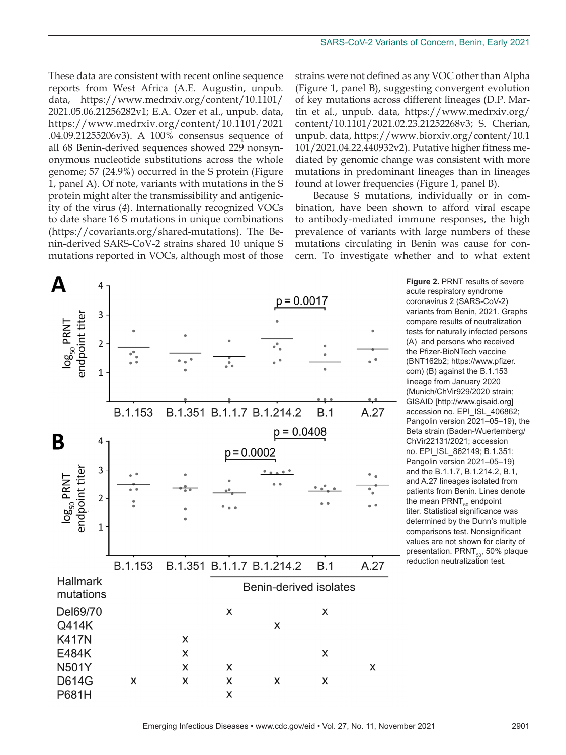These data are consistent with recent online sequence reports from West Africa (A.E. Augustin, unpub. data, https://www.medrxiv.org/content/10.1101/ 2021.05.06.21256282v1; E.A. Ozer et al., unpub. data, https://www.medrxiv.org/content/10.1101/2021 .04.09.21255206v3). A 100% consensus sequence of all 68 Benin-derived sequences showed 229 nonsynonymous nucleotide substitutions across the whole genome; 57 (24.9%) occurred in the S protein (Figure 1, panel A). Of note, variants with mutations in the S protein might alter the transmissibility and antigenicity of the virus (*4*). Internationally recognized VOCs to date share 16 S mutations in unique combinations (https://covariants.org/shared-mutations). The Benin-derived SARS-CoV-2 strains shared 10 unique S mutations reported in VOCs, although most of those

strains were not defined as any VOC other than Alpha (Figure 1, panel B), suggesting convergent evolution of key mutations across different lineages (D.P. Martin et al., unpub. data, https://www.medrxiv.org/ content/10.1101/2021.02.23.21252268v3; S. Cherian, unpub. data, https://www.biorxiv.org/content/10.1 101/2021.04.22.440932v2). Putative higher fitness mediated by genomic change was consistent with more mutations in predominant lineages than in lineages found at lower frequencies (Figure 1, panel B).

Because S mutations, individually or in combination, have been shown to afford viral escape to antibody-mediated immune responses, the high prevalence of variants with large numbers of these mutations circulating in Benin was cause for concern. To investigate whether and to what extent



**Figure 2.** PRNT results of severe acute respiratory syndrome coronavirus 2 (SARS-CoV-2) variants from Benin, 2021. Graphs compare results of neutralization tests for naturally infected persons (A) and persons who received the Pfizer-BioNTech vaccine (BNT162b2; https://www.pfizer. com) (B) against the B.1.153 lineage from January 2020 (Munich/ChVir929/2020 strain; GISAID [http://www.gisaid.org] accession no. EPI\_ISL\_406862; Pangolin version 2021–05–19), the Beta strain (Baden-Wuertemberg/ ChVir22131/2021; accession no. EPI\_ISL\_862149; B.1.351; Pangolin version 2021–05–19) and the B.1.1.7, B.1.214.2, B.1, and A.27 lineages isolated from patients from Benin. Lines denote the mean  $PRNT_{50}$  endpoint titer. Statistical significance was determined by the Dunn's multiple comparisons test. Nonsignificant values are not shown for clarity of presentation. PRNT $_{50}$ , 50% plaque reduction neutralization test.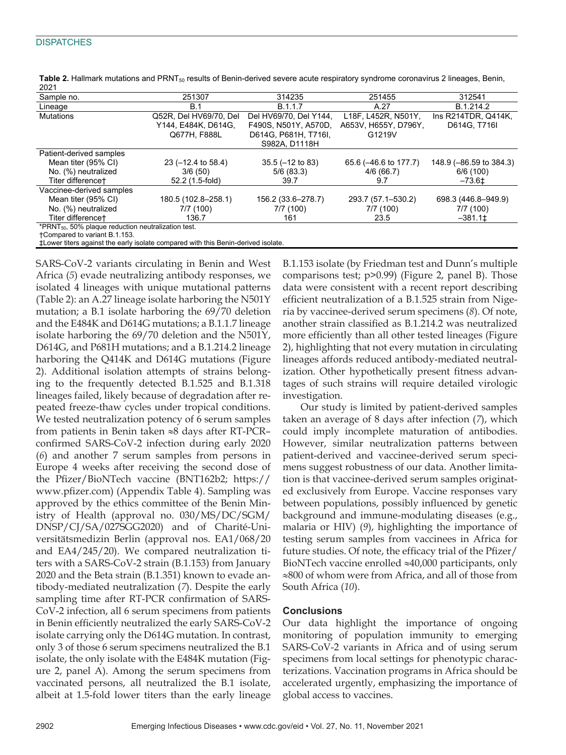## **DISPATCHES**

| ZUZ I                                                                                    |                               |                        |                       |                         |  |  |  |  |
|------------------------------------------------------------------------------------------|-------------------------------|------------------------|-----------------------|-------------------------|--|--|--|--|
| Sample no.                                                                               | 251307                        | 314235                 | 251455                | 312541                  |  |  |  |  |
| Lineage                                                                                  | B.1                           | B.1.1.7                | A.27                  | B.1.214.2               |  |  |  |  |
| <b>Mutations</b>                                                                         | Q52R. Del HV69/70. Del        | Del HV69/70, Del Y144, | L18F, L452R, N501Y,   | Ins R214TDR, Q414K,     |  |  |  |  |
|                                                                                          | Y144, E484K, D614G,           | F490S, N501Y, A570D,   | A653V, H655Y, D796Y,  | D614G, T716I            |  |  |  |  |
|                                                                                          | Q677H. F888L                  | D614G, P681H, T716I.   | G1219V                |                         |  |  |  |  |
|                                                                                          |                               | S982A, D1118H          |                       |                         |  |  |  |  |
| Patient-derived samples                                                                  |                               |                        |                       |                         |  |  |  |  |
| Mean titer (95% CI)                                                                      | $23 (-12.4 \text{ to } 58.4)$ | $35.5$ (-12 to 83)     | 65.6 (-46.6 to 177.7) | 148.9 (-86.59 to 384.3) |  |  |  |  |
| No. (%) neutralized                                                                      | 3/6(50)                       | 5/6(83.3)              | 4/6(66.7)             | 6/6(100)                |  |  |  |  |
| Titer differencet                                                                        | 52.2 (1.5-fold)               | 39.7                   | 9.7                   | $-73.6+$                |  |  |  |  |
| Vaccinee-derived samples                                                                 |                               |                        |                       |                         |  |  |  |  |
| Mean titer (95% CI)                                                                      | 180.5 (102.8-258.1)           | 156.2 (33.6-278.7)     | 293.7 (57.1–530.2)    | 698.3 (446.8-949.9)     |  |  |  |  |
| No. (%) neutralized                                                                      | 7/7(100)                      | 7/7(100)               | 7/7(100)              | 7/7(100)                |  |  |  |  |
| Titer difference <sup>+</sup>                                                            | 136.7                         | 161                    | 23.5                  | $-381.1\pm$             |  |  |  |  |
| *PRNT <sub>50</sub> , 50% plaque reduction neutralization test.                          |                               |                        |                       |                         |  |  |  |  |
| +Compared to variant B.1.153.                                                            |                               |                        |                       |                         |  |  |  |  |
| <b>‡Lower titers against the early isolate compared with this Benin-derived isolate.</b> |                               |                        |                       |                         |  |  |  |  |

Table 2. Hallmark mutations and PRNT<sub>50</sub> results of Benin-derived severe acute respiratory syndrome coronavirus 2 lineages, Benin, 2021

SARS-CoV-2 variants circulating in Benin and West Africa (*5*) evade neutralizing antibody responses, we isolated 4 lineages with unique mutational patterns (Table 2): an A.27 lineage isolate harboring the N501Y mutation; a B.1 isolate harboring the 69/70 deletion and the E484K and D614G mutations; a B.1.1.7 lineage isolate harboring the 69/70 deletion and the N501Y, D614G, and P681H mutations; and a B.1.214.2 lineage harboring the Q414K and D614G mutations (Figure 2). Additional isolation attempts of strains belonging to the frequently detected B.1.525 and B.1.318 lineages failed, likely because of degradation after repeated freeze-thaw cycles under tropical conditions. We tested neutralization potency of 6 serum samples from patients in Benin taken ≈8 days after RT-PCR– confirmed SARS-CoV-2 infection during early 2020 (*6*) and another 7 serum samples from persons in Europe 4 weeks after receiving the second dose of the Pfizer/BioNTech vaccine (BNT162b2; https:// www.pfizer.com) (Appendix Table 4). Sampling was approved by the ethics committee of the Benin Ministry of Health (approval no. 030/MS/DC/SGM/ DNSP/CJ/SA/027SGG2020) and of Charité-Universitätsmedizin Berlin (approval nos. EA1/068/20 and EA4/245/20). We compared neutralization titers with a SARS-CoV-2 strain (B.1.153) from January 2020 and the Beta strain (B.1.351) known to evade antibody-mediated neutralization (*7*). Despite the early sampling time after RT-PCR confirmation of SARS-CoV-2 infection, all 6 serum specimens from patients in Benin efficiently neutralized the early SARS-CoV-2 isolate carrying only the D614G mutation. In contrast, only 3 of those 6 serum specimens neutralized the B.1 isolate, the only isolate with the E484K mutation (Figure 2, panel A). Among the serum specimens from vaccinated persons, all neutralized the B.1 isolate, albeit at 1.5-fold lower titers than the early lineage

B.1.153 isolate (by Friedman test and Dunn's multiple comparisons test; p>0.99) (Figure 2, panel B). Those data were consistent with a recent report describing efficient neutralization of a B.1.525 strain from Nigeria by vaccinee-derived serum specimens (*8*). Of note, another strain classified as B.1.214.2 was neutralized more efficiently than all other tested lineages (Figure 2), highlighting that not every mutation in circulating lineages affords reduced antibody-mediated neutralization. Other hypothetically present fitness advantages of such strains will require detailed virologic investigation.

Our study is limited by patient-derived samples taken an average of 8 days after infection (*7*), which could imply incomplete maturation of antibodies. However, similar neutralization patterns between patient-derived and vaccinee-derived serum specimens suggest robustness of our data. Another limitation is that vaccinee-derived serum samples originated exclusively from Europe. Vaccine responses vary between populations, possibly influenced by genetic background and immune-modulating diseases (e.g., malaria or HIV) (*9*), highlighting the importance of testing serum samples from vaccinees in Africa for future studies. Of note, the efficacy trial of the Pfizer/ BioNTech vaccine enrolled ≈40,000 participants, only ≈800 of whom were from Africa, and all of those from South Africa (*10*).

## **Conclusions**

Our data highlight the importance of ongoing monitoring of population immunity to emerging SARS-CoV-2 variants in Africa and of using serum specimens from local settings for phenotypic characterizations. Vaccination programs in Africa should be accelerated urgently, emphasizing the importance of global access to vaccines.